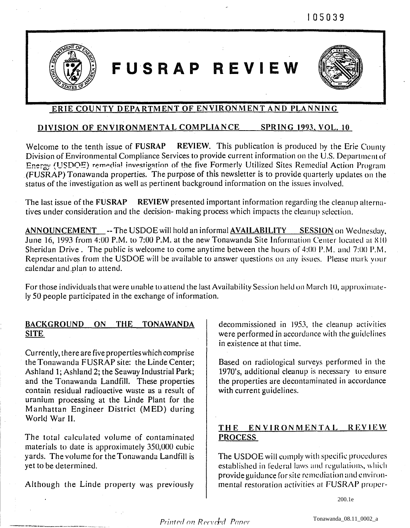105039



# FUSRAP REVIEW



# ERIE COUNTY DEPARTMENT OF ENVIRONMENT AND PLANNING

#### DIVISION OF ENVIRONMENTAL COMPLIANCE **SPRING 1993, VOL. 10**

Welcome to the tenth issue of FUSRAP REVIEW. This publication is produced by the Erie County Division of Environmental Compliance Services to provide current information on the U.S. Department of Energy (USDOE) remedial investigation of the five Formerly Utilized Sites Remedial Action Program (FUSRAP) Tonawanda properties. The purpose of this newsletter is to provide quarterly updates on the status of the investigation as well as pertinent background information on the issues involved.

The last issue of the FUSRAP **REVIEW** presented important information regarding the cleanup alternatives under consideration and the decision-making process which impacts the cleanup selection.

**ANNOUNCEMENT** -- The USDOE will hold an informal **AVAILABILITY** SESSION on Wednesday, June 16, 1993 from 4:00 P.M. to 7:00 P.M. at the new Tonawanda Site Information Center located at 810 Sheridan Drive. The public is welcome to come anytime between the hours of 4:00 P.M. and 7:00 P.M. Representatives from the USDOE will be available to answer questions on any issues. Please mark your calendar and plan to attend.

For those individuals that were unable to attend the last Availability Session held on March 10, approximately 50 people participated in the exchange of information.

# BACKGROUND ON THE TONAWANDA **SITE**

Currently, there are five properties which comprise the Tonawanda FUSRAP site: the Linde Center; Ashland 1; Ashland 2; the Seaway Industrial Park; and the Tonawanda Landfill. These properties contain residual radioactive waste as a result of uranium processing at the Linde Plant for the Manhattan Engineer District (MED) during World War II.

The total calculated volume of contaminated materials to date is approximately 350,000 cubic yards. The volume for the Tonawanda Landfill is vet to be determined.

Although the Linde property was previously

decommissioned in 1953, the cleanup activities were performed in accordance with the guidelines in existence at that time.

Based on radiological surveys performed in the 1970's, additional cleanup is necessary to ensure the properties are decontaminated in accordance with current guidelines.

# THE ENVIRONMENTAL REVIEW **PROCESS**

The USDOE will comply with specific procedures established in federal laws and regulations, which provide guidance for site remediation and environmental restoration activities at FUSRAP proper-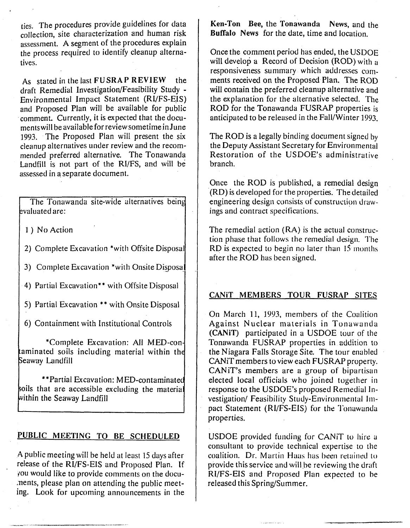ties. The procedures provide guidelines for data collection, site characterization and human risk assessment. **A** segment of the procedures explain the process required to identify cleanup alternatives.

As stated in the last FU **SRA** P **REVIEW** the draft Remedial Investigation/Feasibility Study -Environmental Impact Statement (RVFS-EIS) and Proposed Plan will be available for public comment. Currently, it is expected that the documentswill be available for review sometimein June 1993. The Proposed Plan will present the six cleanup alternatives under review and the recommended preferred alternative. The Tonawanda Landfill is not part of the **RI/FS,** and will be assessed in a separate document.

. The Tonawanda site-wide alternatives being !valuated are:

1) No Action

2) Complete Excavation \*with Offsite Disposal

3) Complete Excavation \*with Onsite Disposal

4) Partial Excavation\*\* with Offsite Disposal

5) Partial Excavation \*\* with Onsite Disposal

6) Containment with Institutional Controls

\*Complete Excavation: All aminated soils including material within th **Seaway Landfill** 

\*\*Partial Excavation: MED-contaminatec oils that are accessible excluding the materia within the Seaway Landfill

#### **PUBLIC MEETING TO BE SCHEDULED**

**A** public meeting will be held at least 15 days after release of the RI/FS-EIS and Proposed Plan. If you would like to provide comments on the documents, please plan on attending the public meeting. Look for upcoming announcements in the **Ken-Ton** Bee, the **Tonawanda** News, and the **Buffalo News** for the date, time and location.

Once the comment period has ended, the USDOE will develop a Record of Decision (ROD) with a responsiveness summary which addresses comments received on the Proposed Plan. The ROD will contain the preferred cleanup alternative and the explanation for the alternative selected. The ROD for the Tonawanda FUSRAP properties is anticipated to be released in the Fall/Winter 1993.

The ROD is a legally binding document signed by the Deputy Assistant Secretary for Environmental Restoration of the USDOE's administrative branch.

Once the ROD is published, a remedial design (RD) is developed for the properties. The detailed engineering design consists of construction drawings and contract specifications.

The remedial action (RA) is the actual construction phase that follows the remedial design. The RD is expected to begin no later than  $15$  months. after the ROD has been signed.

#### **CANiT MEMBERS TOUR FUSRAP SITES**

On March 11, 1993, members of the Coalition Against Nuclear materials in Tonawanda **(CANiT)** participated in a USDOE tour of the Tonawanda FUSRAP properties in zddition to the Niagara Falls Storage Site. The tour enabled CANiT members to view each FUSRAP property. CANiT's members are a group of bipartisan elected local officials who joined together in response to the USDOE's proposed Remedial Investigation/ Feasibility Study-Environmental Impact Statement (RI/FS-EIS) for the Tonawanda properties.

USDOE provided funding for CANiT to hire a consultant to provide technical expertise to the coalition. Dr. Martin Haas has been retained to provide this service and will.be reviewing the draft RI/FS-EIS and Proposed Plan expected to be released this Spring/Surnmer.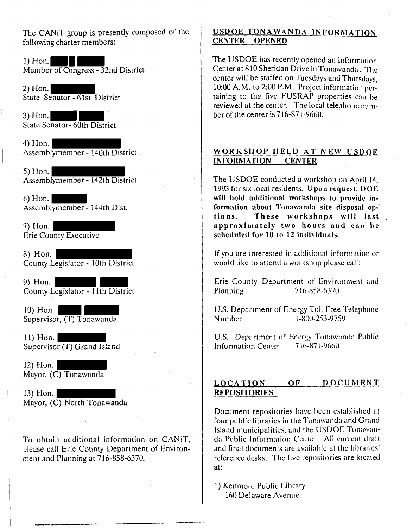The CANiT group is presently composed **of** the following charter members:

1) Hon. Member of Congress - 32nd District

2) Hon. State Senator - 6lst District

3) Hon. State Senator- 60th District

4) Hon. Assemblymember - 140th District

 $5)$  Hon. Assemblymember - 142th District

6) Hon. Assernblymeniber - 144th Dist.

7) Hon. Erie County Executive

8) Hon. County Legislator - 10th District

9) Hon. County Legislator -  $11th$  District

10) Hon. Supervisor, (T) Tonawanda

11) Hon. Supervisor (T) Grand Island

12) Hon. Mayor, (C) Tonawanda

13) Hon. Mayor, (C) North Tonawanda

To obtain additional information on CANIT, )lease call Erie County Department of Environ ment and Planning at 716-858-6370.

### **USDOE TONAWANDA INFORMATION CENTER OPENED**

The USDOE has recently opened an Information Center at 810 Sheridan Drive in Tonawanda. The center will be staffed on Tuesdays and Thursdays.  $10:00$  A.M. to  $2:00$  P.M. Project information pertaining to the five FUSRAP properties can be reviewed at the center. The local telephone number of the center is 7 16-87 1-9660.

## **WORKSHOP MELD AT NEW USDOE INFORMATION CENTER**

The USDOE conducted a workshop on April 14, 1993 for **six** local residents. **U** pan **recluest, I) 0 E will hold additional workshops to provide in**formation about Tonawanda site disposal op**tions. These workshops will last approximately two hours and can be scheduled for 10 to 12 intlividuals.** 

If you are interested in additional information or would like to attend a workshop please call:

Erie County Department of Environment and Planning 716-858-6370

U.S. Department of Energy Toll Free Telephone<br>Number 1-800-253-9759 1-800-253-9759

U.S. Department of Energy Tonawanda Public Information Center 7 10-87 1-9000

### **LOCATION OF DOCUMENT REPOSITOR1 ES**

Document repositories have been established at four public libraries in the Tonawanda and Grand Island municipalities, and the USDOE Tonawanda Public Information Center. All current draft and final documents are available at the libraries' reference desks. The five repositories are located at:

1) Kenmore Public Library 160 Delaware Avenue